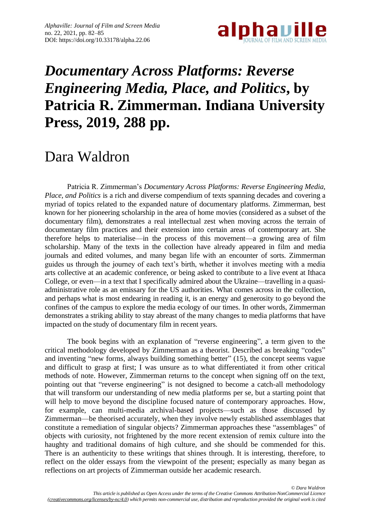

## *Documentary Across Platforms: Reverse Engineering Media, Place, and Politics***, by Patricia R. Zimmerman. Indiana University Press, 2019, 288 pp.**

## Dara Waldron

Patricia R. Zimmerman's *Documentary Across Platforms: Reverse Engineering Media, Place, and Politics* is a rich and diverse compendium of texts spanning decades and covering a myriad of topics related to the expanded nature of documentary platforms. Zimmerman, best known for her pioneering scholarship in the area of home movies (considered as a subset of the documentary film), demonstrates a real intellectual zest when moving across the terrain of documentary film practices and their extension into certain areas of contemporary art. She therefore helps to materialise—in the process of this movement—a growing area of film scholarship. Many of the texts in the collection have already appeared in film and media journals and edited volumes, and many began life with an encounter of sorts. Zimmerman guides us through the journey of each text's birth, whether it involves meeting with a media arts collective at an academic conference, or being asked to contribute to a live event at Ithaca College, or even—in a text that I specifically admired about the Ukraine—travelling in a quasiadministrative role as an emissary for the US authorities. What comes across in the collection, and perhaps what is most endearing in reading it, is an energy and generosity to go beyond the confines of the campus to explore the media ecology of our times. In other words, Zimmerman demonstrates a striking ability to stay abreast of the many changes to media platforms that have impacted on the study of documentary film in recent years.

The book begins with an explanation of "reverse engineering", a term given to the critical methodology developed by Zimmerman as a theorist. Described as breaking "codes" and inventing "new forms, always building something better" (15), the concept seems vague and difficult to grasp at first; I was unsure as to what differentiated it from other critical methods of note. However, Zimmerman returns to the concept when signing off on the text, pointing out that "reverse engineering" is not designed to become a catch-all methodology that will transform our understanding of new media platforms per se, but a starting point that will help to move beyond the discipline focused nature of contemporary approaches. How, for example, can multi-media archival-based projects—such as those discussed by Zimmerman—be theorised accurately, when they involve newly established assemblages that constitute a remediation of singular objects? Zimmerman approaches these "assemblages" of objects with curiosity, not frightened by the more recent extension of remix culture into the haughty and traditional domains of high culture, and she should be commended for this. There is an authenticity to these writings that shines through. It is interesting, therefore, to reflect on the older essays from the viewpoint of the present; especially as many began as reflections on art projects of Zimmerman outside her academic research.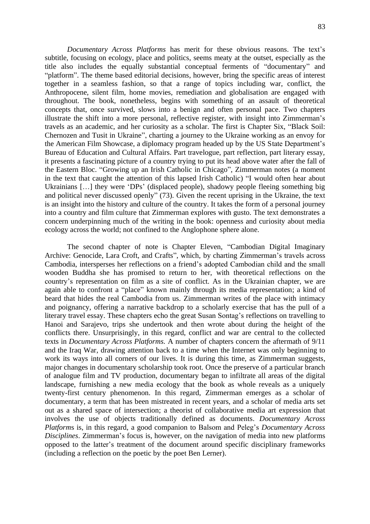*Documentary Across Platforms* has merit for these obvious reasons. The text's subtitle, focusing on ecology, place and politics, seems meaty at the outset, especially as the title also includes the equally substantial conceptual ferments of "documentary" and "platform". The theme based editorial decisions, however, bring the specific areas of interest together in a seamless fashion, so that a range of topics including war, conflict, the Anthropocene, silent film, home movies, remediation and globalisation are engaged with throughout. The book, nonetheless, begins with something of an assault of theoretical concepts that, once survived, slows into a benign and often personal pace. Two chapters illustrate the shift into a more personal, reflective register, with insight into Zimmerman's travels as an academic, and her curiosity as a scholar. The first is Chapter Six, "Black Soil: Chernozen and Tusit in Ukraine", charting a journey to the Ukraine working as an envoy for the American Film Showcase, a diplomacy program headed up by the US State Department's Bureau of Education and Cultural Affairs. Part travelogue, part reflection, part literary essay, it presents a fascinating picture of a country trying to put its head above water after the fall of the Eastern Bloc. "Growing up an Irish Catholic in Chicago", Zimmerman notes (a moment in the text that caught the attention of this lapsed Irish Catholic) "I would often hear about Ukrainians [...] they were 'DPs' (displaced people), shadowy people fleeing something big and political never discussed openly" (73). Given the recent uprising in the Ukraine, the text is an insight into the history and culture of the country. It takes the form of a personal journey into a country and film culture that Zimmerman explores with gusto. The text demonstrates a concern underpinning much of the writing in the book: openness and curiosity about media ecology across the world; not confined to the Anglophone sphere alone.

The second chapter of note is Chapter Eleven, "Cambodian Digital Imaginary Archive: Genocide, Lara Croft, and Crafts", which, by charting Zimmerman's travels across Cambodia, intersperses her reflections on a friend's adopted Cambodian child and the small wooden Buddha she has promised to return to her, with theoretical reflections on the country's representation on film as a site of conflict. As in the Ukrainian chapter, we are again able to confront a "place" known mainly through its media representation; a kind of beard that hides the real Cambodia from us. Zimmerman writes of the place with intimacy and poignancy, offering a narrative backdrop to a scholarly exercise that has the pull of a literary travel essay. These chapters echo the great Susan Sontag's reflections on travelling to Hanoi and Sarajevo, trips she undertook and then wrote about during the height of the conflicts there. Unsurprisingly, in this regard, conflict and war are central to the collected texts in *Documentary Across Platforms.* A number of chapters concern the aftermath of 9/11 and the Iraq War, drawing attention back to a time when the Internet was only beginning to work its ways into all corners of our lives. It is during this time, as Zimmerman suggests, major changes in documentary scholarship took root. Once the preserve of a particular branch of analogue film and TV production, documentary began to infiltrate all areas of the digital landscape, furnishing a new media ecology that the book as whole reveals as a uniquely twenty-first century phenomenon. In this regard, Zimmerman emerges as a scholar of documentary, a term that has been mistreated in recent years, and a scholar of media arts set out as a shared space of intersection; a theorist of collaborative media art expression that involves the use of objects traditionally defined as documents. *Documentary Across Platform*s is, in this regard, a good companion to Balsom and Peleg's *Documentary Across Disciplines*. Zimmerman's focus is, however, on the navigation of media into new platforms opposed to the latter's treatment of the document around specific disciplinary frameworks (including a reflection on the poetic by the poet Ben Lerner).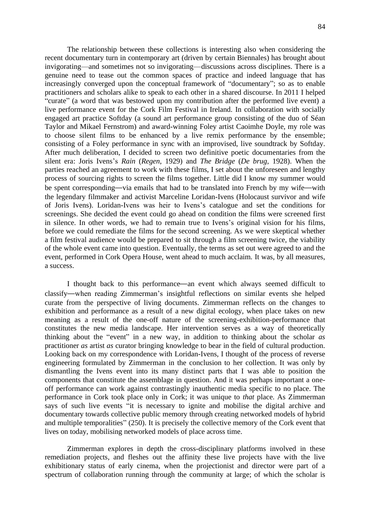The relationship between these collections is interesting also when considering the recent documentary turn in contemporary art (driven by certain Biennales) has brought about invigorating—and sometimes not so invigorating—discussions across disciplines. There is a genuine need to tease out the common spaces of practice and indeed language that has increasingly converged upon the conceptual framework of "documentary"; so as to enable practitioners and scholars alike to speak to each other in a shared discourse. In 2011 I helped "curate" (a word that was bestowed upon my contribution after the performed live event) a live performance event for the Cork Film Festival in Ireland. In collaboration with socially engaged art practice Softday (a sound art performance group consisting of the duo of Séan Taylor and Mikael Fernstrom) and award-winning Foley artist Caoimhe Doyle, my role was to choose silent films to be enhanced by a live remix performance by the ensemble; consisting of a Foley performance in sync with an improvised, live soundtrack by Softday. After much deliberation, I decided to screen two definitive poetic documentaries from the silent era: Joris Ivens's *Rain* (*Regen*, 1929) and *The Bridge* (*De brug*, 1928). When the parties reached an agreement to work with these films, I set about the unforeseen and lengthy process of sourcing rights to screen the films together. Little did I know my summer would be spent corresponding—via emails that had to be translated into French by my wife—with the legendary filmmaker and activist Marceline Loridan-Ivens (Holocaust survivor and wife of Joris Ivens). Loridan-Ivens was heir to Ivens's catalogue and set the conditions for screenings. She decided the event could go ahead on condition the films were screened first in silence. In other words, we had to remain true to Ivens's original vision for his films, before we could remediate the films for the second screening. As we were skeptical whether a film festival audience would be prepared to sit through a film screening twice, the viability of the whole event came into question. Eventually, the terms as set out were agreed to and the event, performed in Cork Opera House, went ahead to much acclaim. It was, by all measures, a success.

I thought back to this performance—an event which always seemed difficult to classify—when reading Zimmerman's insightful reflections on similar events she helped curate from the perspective of living documents. Zimmerman reflects on the changes to exhibition and performance as a result of a new digital ecology, when place takes on new meaning as a result of the one-off nature of the screening-exhibition-performance that constitutes the new media landscape. Her intervention serves as a way of theoretically thinking about the "event" in a new way, in addition to thinking about the scholar *as* practitioner *as* artist *as* curator bringing knowledge to bear in the field of cultural production. Looking back on my correspondence with Loridan-Ivens, I thought of the process of reverse engineering formulated by Zimmerman in the conclusion to her collection. It was only by dismantling the Ivens event into its many distinct parts that I was able to position the components that constitute the assemblage in question. And it was perhaps important a oneoff performance can work against contrastingly inauthentic media specific to no place. The performance in Cork took place only in Cork; it was unique to *that* place. As Zimmerman says of such live events "it is necessary to ignite and mobilise the digital archive and documentary towards collective public memory through creating networked models of hybrid and multiple temporalities" (250). It is precisely the collective memory of the Cork event that lives on today, mobilising networked models of place across time.

Zimmerman explores in depth the cross-disciplinary platforms involved in these remediation projects, and fleshes out the affinity these live projects have with the live exhibitionary status of early cinema, when the projectionist and director were part of a spectrum of collaboration running through the community at large; of which the scholar is